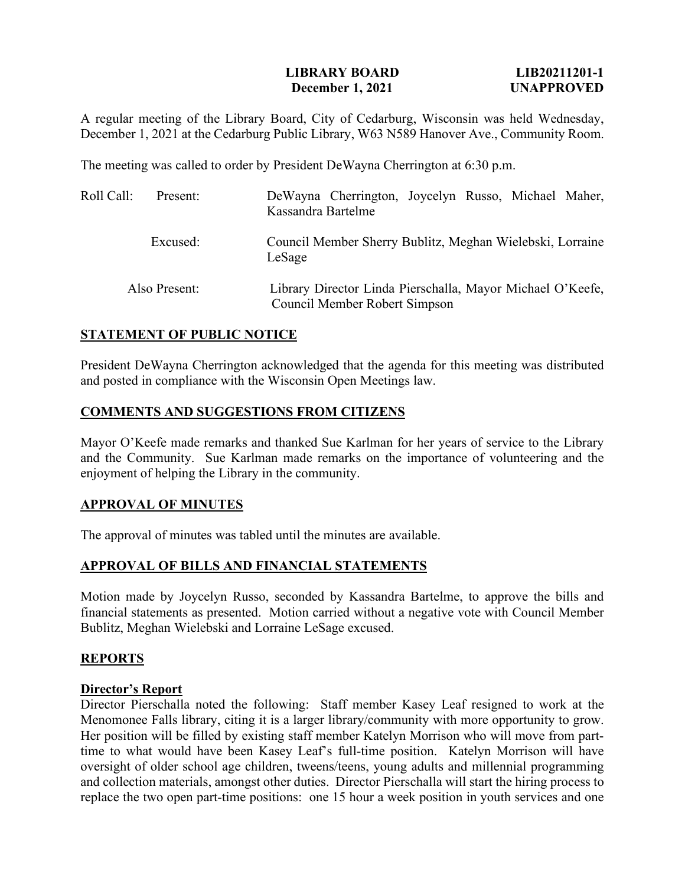### **LIBRARY BOARD LIB20211201-1 December 1, 2021 UNAPPROVED**

A regular meeting of the Library Board, City of Cedarburg, Wisconsin was held Wednesday, December 1, 2021 at the Cedarburg Public Library, W63 N589 Hanover Ave., Community Room.

The meeting was called to order by President DeWayna Cherrington at 6:30 p.m.

| Roll Call: | Present:      | DeWayna Cherrington, Joycelyn Russo, Michael Maher,<br>Kassandra Bartelme                   |
|------------|---------------|---------------------------------------------------------------------------------------------|
|            | Excused:      | Council Member Sherry Bublitz, Meghan Wielebski, Lorraine<br>LeSage                         |
|            | Also Present: | Library Director Linda Pierschalla, Mayor Michael O'Keefe,<br>Council Member Robert Simpson |

## **STATEMENT OF PUBLIC NOTICE**

President DeWayna Cherrington acknowledged that the agenda for this meeting was distributed and posted in compliance with the Wisconsin Open Meetings law.

## **COMMENTS AND SUGGESTIONS FROM CITIZENS**

Mayor O'Keefe made remarks and thanked Sue Karlman for her years of service to the Library and the Community. Sue Karlman made remarks on the importance of volunteering and the enjoyment of helping the Library in the community.

### **APPROVAL OF MINUTES**

The approval of minutes was tabled until the minutes are available.

# **APPROVAL OF BILLS AND FINANCIAL STATEMENTS**

Motion made by Joycelyn Russo, seconded by Kassandra Bartelme, to approve the bills and financial statements as presented. Motion carried without a negative vote with Council Member Bublitz, Meghan Wielebski and Lorraine LeSage excused.

### **REPORTS**

### **Director's Report**

Director Pierschalla noted the following: Staff member Kasey Leaf resigned to work at the Menomonee Falls library, citing it is a larger library/community with more opportunity to grow. Her position will be filled by existing staff member Katelyn Morrison who will move from parttime to what would have been Kasey Leaf's full-time position. Katelyn Morrison will have oversight of older school age children, tweens/teens, young adults and millennial programming and collection materials, amongst other duties. Director Pierschalla will start the hiring process to replace the two open part-time positions: one 15 hour a week position in youth services and one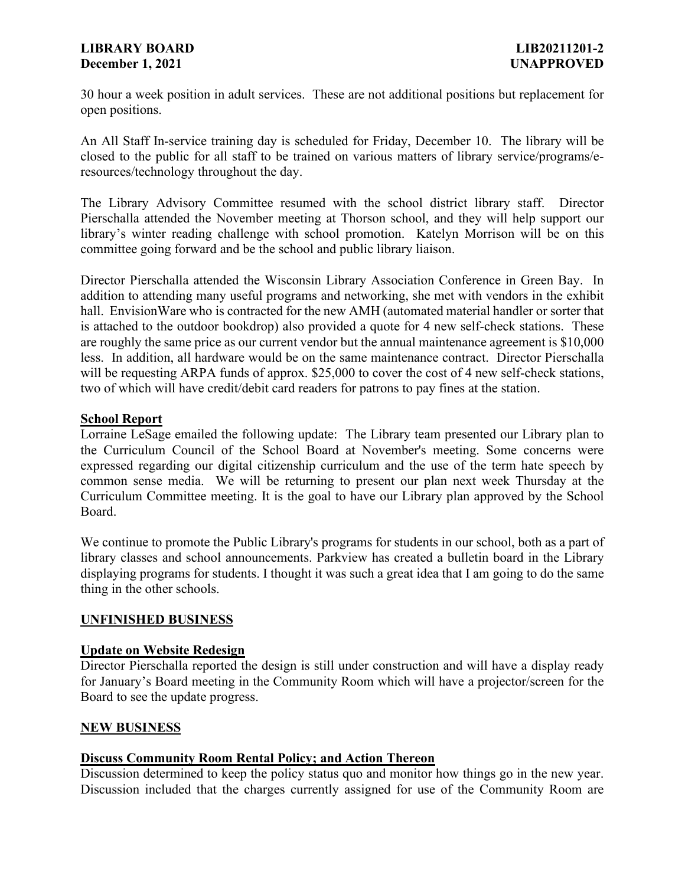## **LIBRARY BOARD LIB20211201-2 December 1, 2021 UNAPPROVED**

30 hour a week position in adult services. These are not additional positions but replacement for open positions.

An All Staff In-service training day is scheduled for Friday, December 10. The library will be closed to the public for all staff to be trained on various matters of library service/programs/eresources/technology throughout the day.

The Library Advisory Committee resumed with the school district library staff. Director Pierschalla attended the November meeting at Thorson school, and they will help support our library's winter reading challenge with school promotion. Katelyn Morrison will be on this committee going forward and be the school and public library liaison.

Director Pierschalla attended the Wisconsin Library Association Conference in Green Bay. In addition to attending many useful programs and networking, she met with vendors in the exhibit hall. EnvisionWare who is contracted for the new AMH (automated material handler or sorter that is attached to the outdoor bookdrop) also provided a quote for 4 new self-check stations. These are roughly the same price as our current vendor but the annual maintenance agreement is \$10,000 less. In addition, all hardware would be on the same maintenance contract. Director Pierschalla will be requesting ARPA funds of approx. \$25,000 to cover the cost of 4 new self-check stations, two of which will have credit/debit card readers for patrons to pay fines at the station.

## **School Report**

Lorraine LeSage emailed the following update: The Library team presented our Library plan to the Curriculum Council of the School Board at November's meeting. Some concerns were expressed regarding our digital citizenship curriculum and the use of the term hate speech by common sense media. We will be returning to present our plan next week Thursday at the Curriculum Committee meeting. It is the goal to have our Library plan approved by the School Board.

We continue to promote the Public Library's programs for students in our school, both as a part of library classes and school announcements. Parkview has created a bulletin board in the Library displaying programs for students. I thought it was such a great idea that I am going to do the same thing in the other schools.

# **UNFINISHED BUSINESS**

### **Update on Website Redesign**

Director Pierschalla reported the design is still under construction and will have a display ready for January's Board meeting in the Community Room which will have a projector/screen for the Board to see the update progress.

### **NEW BUSINESS**

# **Discuss Community Room Rental Policy; and Action Thereon**

Discussion determined to keep the policy status quo and monitor how things go in the new year. Discussion included that the charges currently assigned for use of the Community Room are